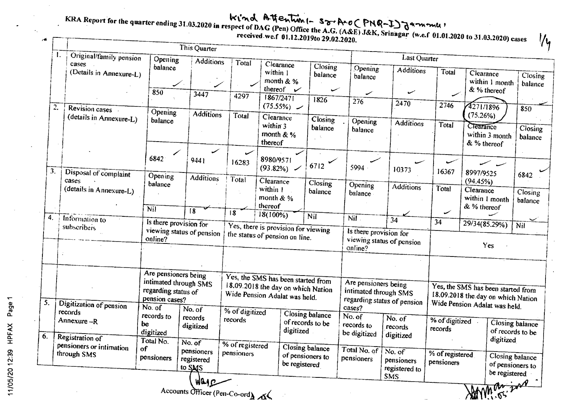MMM 55

|                | KRA Report for the quarter ending 31.03.2020 in respect of DAG (Pen) Office the A.G. (A&E) J&K, Srinagar (w.e.f 01.01.2020 to 31.03.2020) cases |                                                 | This Quarter                                 |                                                                       |                                                                          |                                                      |                                                                |                                               |                               |                                                                     | $\frac{1}{4}$                       |
|----------------|-------------------------------------------------------------------------------------------------------------------------------------------------|-------------------------------------------------|----------------------------------------------|-----------------------------------------------------------------------|--------------------------------------------------------------------------|------------------------------------------------------|----------------------------------------------------------------|-----------------------------------------------|-------------------------------|---------------------------------------------------------------------|-------------------------------------|
| -1.            | Original/family pension<br>cases                                                                                                                | Opening<br>balance                              | <b>Additions</b>                             | Total                                                                 | Clearance                                                                | Closing                                              | Opening                                                        | <b>Last Quarter</b><br><b>Additions</b>       | Total                         |                                                                     |                                     |
|                | (Details in Annexure-L)                                                                                                                         |                                                 | $\swarrow$ .                                 |                                                                       | within 1<br>month & %<br>thereof $\mathcal V$                            | balance<br>س                                         | balance                                                        |                                               |                               | Clearance<br>within 1 month<br>& % thereof                          | Closing<br>balance                  |
| $\overline{c}$ | Revision cases                                                                                                                                  | 850                                             | 3447                                         | 4297                                                                  | 1867/2471<br>(75.55%)                                                    | 1826                                                 | ╱<br>276                                                       | س<br>2470                                     | 2746                          | 4271/1896                                                           | 850                                 |
|                | (details in Annexure-L)                                                                                                                         | Opening<br>balance                              | <b>Additions</b>                             | Total                                                                 | Clearance<br>within 3<br>month $&$ %<br>thereof                          | Closing<br>balance<br>$\sim$ $\sim$                  | Opening<br>balance                                             | <b>Additions</b>                              | Total                         | (75.26%)<br>Clearance<br>within 3 month<br>& % thereof              | Closing<br>balance                  |
|                | Disposal of complaint                                                                                                                           | 6842<br>Opening                                 | 9441<br><b>Additions</b>                     | 16283<br>Total                                                        | 8980/9571<br>$(93.82\%)$                                                 | 6712                                                 | 5994 -                                                         | 10373                                         | 16367                         | 8997/9525                                                           | 6842                                |
|                | cases<br>(details in Annexure-L)                                                                                                                | balance                                         |                                              |                                                                       | Clearance<br>within 1<br>month $& \%$<br>thereof                         | Closing<br>balance                                   | Opening<br>balance                                             | <b>Additions</b>                              | Total                         | (94.45%)<br>Clearance<br>within 1 month<br>& % thereof              | Closing<br>balance                  |
|                | Information to                                                                                                                                  | Nil                                             | 18                                           | $\overline{8}$                                                        | $18(100\%)$                                                              | Nil                                                  | Nil.                                                           | $\overline{34}$                               | ے<br>34                       |                                                                     |                                     |
|                | subscribers                                                                                                                                     | Is there provision for<br>online?               | viewing status of pension                    | Yes, there is provision for viewing<br>the status of pension on line. |                                                                          |                                                      | Is there provision for<br>viewing status of pension<br>online? |                                               | 29/34(85.29%)<br>Nil<br>Yes   |                                                                     |                                     |
|                |                                                                                                                                                 | Are pensioners being                            | intimated through SMS                        |                                                                       | Yes, the SMS has been started from<br>18.09.2018 the day on which Nation |                                                      | Are pensioners being                                           |                                               |                               | Yes, the SMS has been started from                                  |                                     |
|                | Digitization of pension                                                                                                                         | regarding status of<br>pension cases?<br>No. of | No. of                                       | % of digitized                                                        | Wide Pension Adalat was held.                                            |                                                      | intimated through SMS<br>cases?                                | regarding status of pension                   |                               | 18.09.2018 the day on which Nation<br>Wide Pension Adalat was held. |                                     |
|                | records<br>Annexure-R<br>Registration of                                                                                                        | records to<br>be<br>digitized                   | records<br>digitized                         | records                                                               | digitized                                                                | <b>Closing balance</b><br>of records to be           | No. of<br>records to<br>be digitized                           | No. of<br>records<br>digitized                | % of digitized<br>records     |                                                                     | Closing balance<br>of records to be |
|                | pensioners or intimation<br>through SMS                                                                                                         | Total No.<br>of<br>pensioners                   | No. of<br>pensioners<br>registered<br>to SMS | % of registered<br>pensioners                                         |                                                                          | Closing balance<br>of pensioners to<br>be registered | Total No. of<br>pensioners                                     | No. of<br>pensioners<br>registered to<br>SMS. | % of registered<br>pensioners | digitized<br>be registered                                          | Closing balance<br>of pensioners to |

Accounts Officer (Pen-Co-ord)

 $\overline{1}$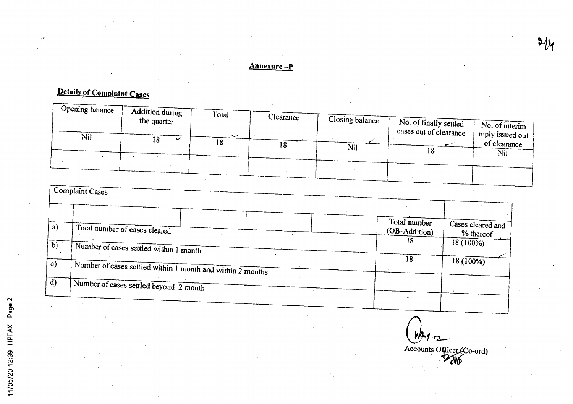#### Annexure-P

# Details of Complaint Cases

| Opening balance | <b>Addition during</b> | Total   | Clearance |                 |                                                  |                                                            |
|-----------------|------------------------|---------|-----------|-----------------|--------------------------------------------------|------------------------------------------------------------|
|                 | the quarter            |         |           | Closing balance | No. of finally settled<br>cases out of clearance | No. of interim                                             |
| <b>Nil</b>      | 18<br>ັ                | ٮ<br>18 | l 8       | Nil             |                                                  | $^{\prime}$ , reply issued out $^{\prime}$<br>of clearance |
| ٠.,             |                        |         |           |                 | ΙO                                               | Nil                                                        |
|                 |                        |         |           |                 |                                                  |                                                            |
|                 |                        |         |           |                 |                                                  |                                                            |

| a)              | Total number of cases cleared                              | Total number<br>(OB-Addition) | Cases cleared and<br>% thereof |
|-----------------|------------------------------------------------------------|-------------------------------|--------------------------------|
| $\overline{b)}$ | Number of cases settled within 1 month                     | 18                            | $18(100\%)$                    |
|                 | Number of cases settled within 1 month and within 2 months | 18                            | $18(100\%)$                    |
|                 | Number of cases settled beyond 2 month                     |                               |                                |

 $W + 2$ Accounts Officer (Co-ord)

 $\partial/\partial y$ 

11/05/20 12:39 HPFAX Page 2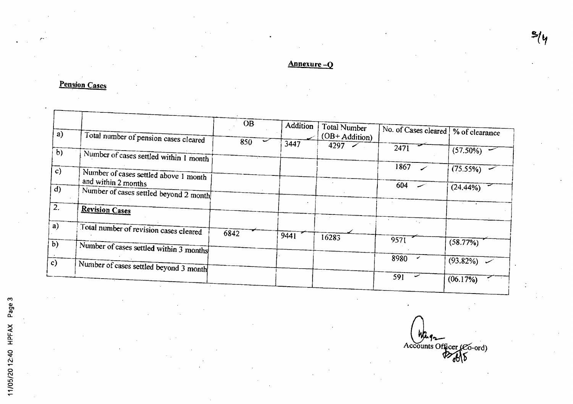Annexure-Q

## **Pension Cases**

| a)           | Total number of pension cases cleared                        | <b>OB</b> | Addition | Total Number<br>$(OB + Addition)$ | No. of Cases cleared | % of clearance |
|--------------|--------------------------------------------------------------|-----------|----------|-----------------------------------|----------------------|----------------|
|              |                                                              | 850       | 3447     | 4297                              | 2471                 |                |
| $\mathbf{b}$ | Number of cases settled within 1 month                       |           |          |                                   |                      | $(57.50\%)$    |
| c)           |                                                              |           |          |                                   | 1867                 | (75.55%)       |
|              | Number of cases settled above 1 month<br>and within 2 months |           |          |                                   |                      |                |
|              | Number of cases settled beyond 2 month                       |           |          |                                   | 604                  | $(24.44\%)$    |
|              | <b>Revision Cases</b>                                        |           |          |                                   |                      |                |
|              | Total number of revision cases cleared                       |           |          |                                   |                      |                |
|              |                                                              | 6842      | 9441     | 16283                             | 957                  |                |
|              | Number of cases settled within 3 months                      |           |          |                                   |                      | $(58.77\%)$    |
|              | Number of cases settled beyond 3 month                       |           |          |                                   | 8980                 | $(93.82\%)$    |
|              |                                                              |           |          |                                   | 591                  | (06.17%)       |

Accounts Officer (CO-ord)

 $\frac{2}{4}$ 

11/05/20 12:40 HPFAX Page 3